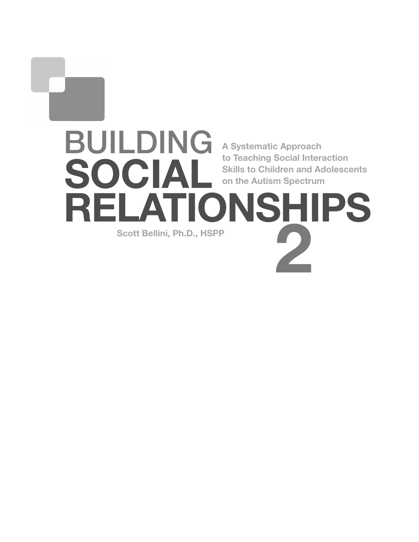# BUILDING SOCIAL<br>REI ATIO **IONSHIPS** 2 A Systematic Approach to Teaching Social Interaction Skills to Children and Adolescents on the Autism Spectrum Scott Bellini, Ph.D., HSPP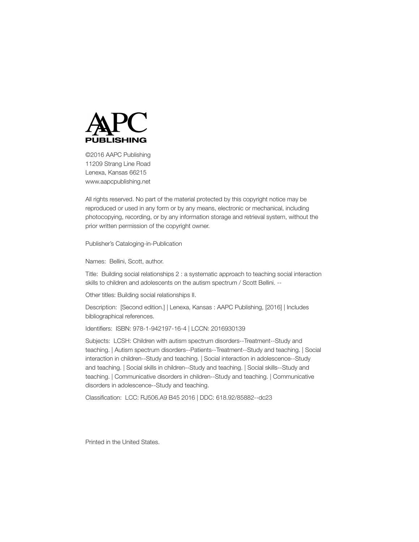

©2016 AAPC Publishing 11209 Strang Line Road Lenexa, Kansas 66215 www.aapcpublishing.net

All rights reserved. No part of the material protected by this copyright notice may be reproduced or used in any form or by any means, electronic or mechanical, including photocopying, recording, or by any information storage and retrieval system, without the prior written permission of the copyright owner.

Publisher's Cataloging-in-Publication

Names: Bellini, Scott, author.

Title: Building social relationships 2 : a systematic approach to teaching social interaction skills to children and adolescents on the autism spectrum / Scott Bellini. --

Other titles: Building social relationships II.

Description: [Second edition.] | Lenexa, Kansas : AAPC Publishing, [2016] | Includes bibliographical references.

Identifiers: ISBN: 978-1-942197-16-4 | LCCN: 2016930139

Subjects: LCSH: Children with autism spectrum disorders--Treatment--Study and teaching. | Autism spectrum disorders--Patients--Treatment--Study and teaching. | Social interaction in children--Study and teaching. | Social interaction in adolescence--Study and teaching. | Social skills in children--Study and teaching. | Social skills--Study and teaching. | Communicative disorders in children--Study and teaching. | Communicative disorders in adolescence--Study and teaching.

Classification: LCC: RJ506.A9 B45 2016 | DDC: 618.92/85882--dc23

Printed in the United States.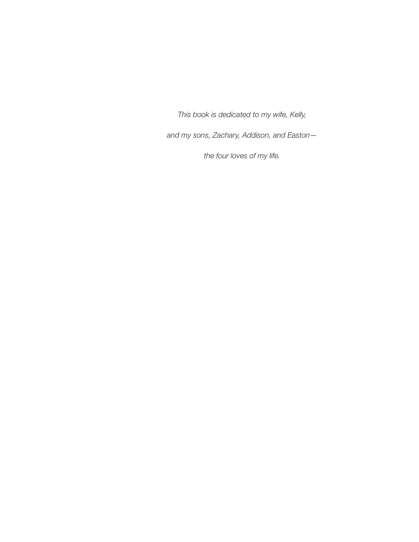*This book is dedicated to my wife, Kelly,* 

*and my sons, Zachary, Addison, and Easton—*

*the four loves of my life.*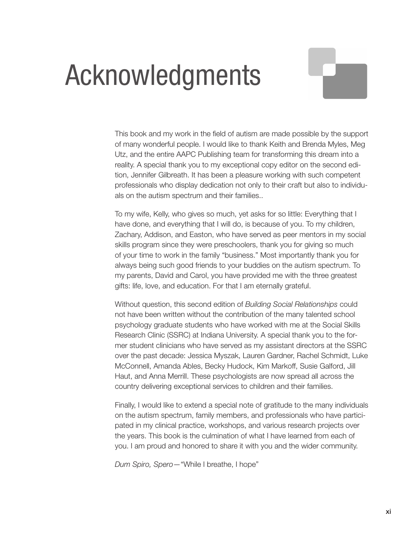# Acknowledgments

This book and my work in the field of autism are made possible by the support of many wonderful people. I would like to thank Keith and Brenda Myles, Meg Utz, and the entire AAPC Publishing team for transforming this dream into a reality. A special thank you to my exceptional copy editor on the second edition, Jennifer Gilbreath. It has been a pleasure working with such competent professionals who display dedication not only to their craft but also to individuals on the autism spectrum and their families..

To my wife, Kelly, who gives so much, yet asks for so little: Everything that I have done, and everything that I will do, is because of you. To my children, Zachary, Addison, and Easton, who have served as peer mentors in my social skills program since they were preschoolers, thank you for giving so much of your time to work in the family "business." Most importantly thank you for always being such good friends to your buddies on the autism spectrum. To my parents, David and Carol, you have provided me with the three greatest gifts: life, love, and education. For that I am eternally grateful.

Without question, this second edition of *Building Social Relationships* could not have been written without the contribution of the many talented school psychology graduate students who have worked with me at the Social Skills Research Clinic (SSRC) at Indiana University. A special thank you to the former student clinicians who have served as my assistant directors at the SSRC over the past decade: Jessica Myszak, Lauren Gardner, Rachel Schmidt, Luke McConnell, Amanda Ables, Becky Hudock, Kim Markoff, Susie Galford, Jill Haut, and Anna Merrill. These psychologists are now spread all across the country delivering exceptional services to children and their families.

Finally, I would like to extend a special note of gratitude to the many individuals on the autism spectrum, family members, and professionals who have participated in my clinical practice, workshops, and various research projects over the years. This book is the culmination of what I have learned from each of you. I am proud and honored to share it with you and the wider community.

*Dum Spiro, Spero*—"While I breathe, I hope"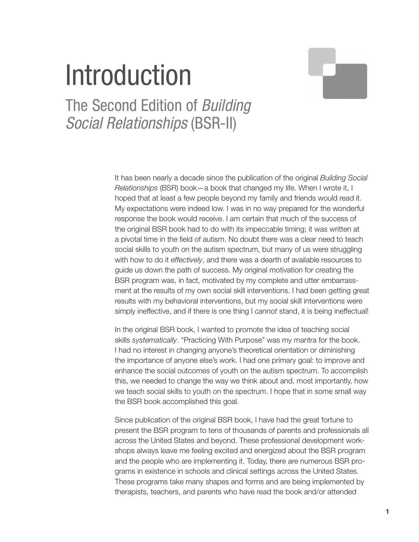# Introduction

The Second Edition of *Building Social Relationships* (BSR-II)

> It has been nearly a decade since the publication of the original *Building Social Relationships* (BSR) book—a book that changed my life. When I wrote it, I hoped that at least a few people beyond my family and friends would read it. My expectations were indeed low. I was in no way prepared for the wonderful response the book would receive. I am certain that much of the success of the original BSR book had to do with its impeccable timing; it was written at a pivotal time in the field of autism. No doubt there was a clear need to teach social skills to youth on the autism spectrum, but many of us were struggling with how to do it *effectively*, and there was a dearth of available resources to guide us down the path of success. My original motivation for creating the BSR program was, in fact, motivated by my complete and utter embarrassment at the results of my own social skill interventions. I had been getting great results with my behavioral interventions, but my social skill interventions were simply ineffective, and if there is one thing I *cannot* stand, it is being ineffectual!

> In the original BSR book, I wanted to promote the idea of teaching social skills *systematically*. "Practicing With Purpose" was my mantra for the book. I had no interest in changing anyone's theoretical orientation or diminishing the importance of anyone else's work. I had one primary goal: to improve and enhance the social outcomes of youth on the autism spectrum. To accomplish this, we needed to change the way we think about and, most importantly, how we teach social skills to youth on the spectrum. I hope that in some small way the BSR book accomplished this goal.

> Since publication of the original BSR book, I have had the great fortune to present the BSR program to tens of thousands of parents and professionals all across the United States and beyond. These professional development workshops always leave me feeling excited and energized about the BSR program and the people who are implementing it. Today, there are numerous BSR programs in existence in schools and clinical settings across the United States. These programs take many shapes and forms and are being implemented by therapists, teachers, and parents who have read the book and/or attended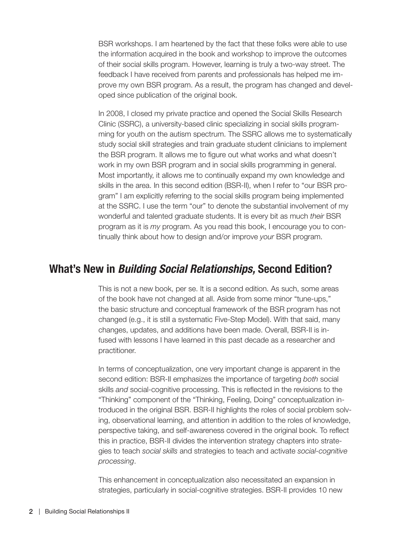BSR workshops. I am heartened by the fact that these folks were able to use the information acquired in the book and workshop to improve the outcomes of their social skills program. However, learning is truly a two-way street. The feedback I have received from parents and professionals has helped me improve my own BSR program. As a result, the program has changed and developed since publication of the original book.

In 2008, I closed my private practice and opened the Social Skills Research Clinic (SSRC), a university-based clinic specializing in social skills programming for youth on the autism spectrum. The SSRC allows me to systematically study social skill strategies and train graduate student clinicians to implement the BSR program. It allows me to figure out what works and what doesn't work in my own BSR program and in social skills programming in general. Most importantly, it allows me to continually expand my own knowledge and skills in the area. In this second edition (BSR-II), when I refer to "our BSR program" I am explicitly referring to the social skills program being implemented at the SSRC. I use the term "our" to denote the substantial involvement of my wonderful and talented graduate students. It is every bit as much *their* BSR program as it is *my* program. As you read this book, I encourage you to continually think about how to design and/or improve *your* BSR program.

## What's New in *Building Social Relationships,* Second Edition?

This is not a new book, per se. It is a second edition. As such, some areas of the book have not changed at all. Aside from some minor "tune-ups," the basic structure and conceptual framework of the BSR program has not changed (e.g., it is still a systematic Five-Step Model). With that said, many changes, updates, and additions have been made. Overall, BSR-II is infused with lessons I have learned in this past decade as a researcher and practitioner.

In terms of conceptualization, one very important change is apparent in the second edition: BSR-II emphasizes the importance of targeting *both* social skills *and* social-cognitive processing. This is reflected in the revisions to the "Thinking" component of the "Thinking, Feeling, Doing" conceptualization introduced in the original BSR. BSR-II highlights the roles of social problem solving, observational learning, and attention in addition to the roles of knowledge, perspective taking, and self-awareness covered in the original book. To reflect this in practice, BSR-II divides the intervention strategy chapters into strategies to teach *social skills* and strategies to teach and activate *social-cognitive processing*.

This enhancement in conceptualization also necessitated an expansion in strategies, particularly in social-cognitive strategies. BSR-II provides 10 new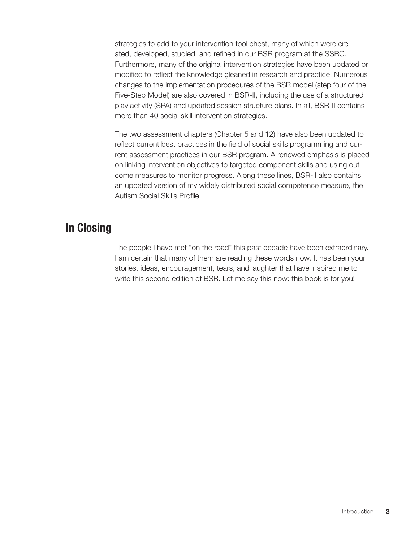strategies to add to your intervention tool chest, many of which were created, developed, studied, and refined in our BSR program at the SSRC. Furthermore, many of the original intervention strategies have been updated or modified to reflect the knowledge gleaned in research and practice. Numerous changes to the implementation procedures of the BSR model (step four of the Five-Step Model) are also covered in BSR-II, including the use of a structured play activity (SPA) and updated session structure plans. In all, BSR-II contains more than 40 social skill intervention strategies.

The two assessment chapters (Chapter 5 and 12) have also been updated to reflect current best practices in the field of social skills programming and current assessment practices in our BSR program. A renewed emphasis is placed on linking intervention objectives to targeted component skills and using outcome measures to monitor progress. Along these lines, BSR-II also contains an updated version of my widely distributed social competence measure, the Autism Social Skills Profile.

# In Closing

The people I have met "on the road" this past decade have been extraordinary. I am certain that many of them are reading these words now. It has been your stories, ideas, encouragement, tears, and laughter that have inspired me to write this second edition of BSR. Let me say this now: this book is for you!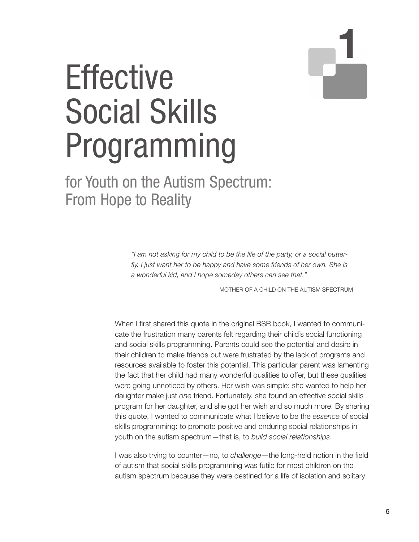# 1

# **Effective** Social Skills Programming

# for Youth on the Autism Spectrum: From Hope to Reality

*"I am not asking for my child to be the life of the party, or a social butterfly. I just want her to be happy and have some friends of her own. She is a wonderful kid, and I hope someday others can see that."*

—MOTHER OF A CHILD ON THE AUTISM SPECTRUM

When I first shared this quote in the original BSR book, I wanted to communicate the frustration many parents felt regarding their child's social functioning and social skills programming. Parents could see the potential and desire in their children to make friends but were frustrated by the lack of programs and resources available to foster this potential. This particular parent was lamenting the fact that her child had many wonderful qualities to offer, but these qualities were going unnoticed by others. Her wish was simple: she wanted to help her daughter make just *one* friend. Fortunately, she found an effective social skills program for her daughter, and she got her wish and so much more. By sharing this quote, I wanted to communicate what I believe to be the *essence* of social skills programming: to promote positive and enduring social relationships in youth on the autism spectrum—that is, to *build social relationships*.

I was also trying to counter—no, to *challenge*—the long-held notion in the field of autism that social skills programming was futile for most children on the autism spectrum because they were destined for a life of isolation and solitary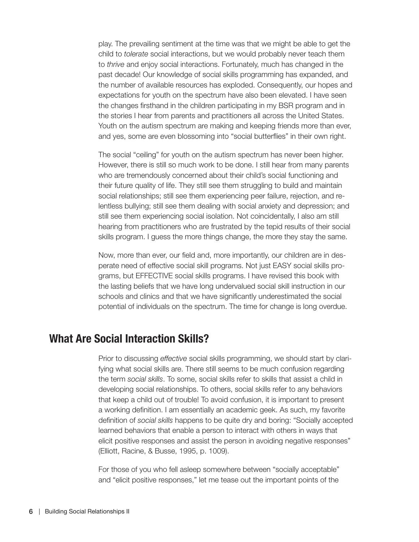play. The prevailing sentiment at the time was that we might be able to get the child to *tolerate* social interactions, but we would probably never teach them to *thrive* and enjoy social interactions. Fortunately, much has changed in the past decade! Our knowledge of social skills programming has expanded, and the number of available resources has exploded. Consequently, our hopes and expectations for youth on the spectrum have also been elevated. I have seen the changes firsthand in the children participating in my BSR program and in the stories I hear from parents and practitioners all across the United States. Youth on the autism spectrum are making and keeping friends more than ever, and yes, some are even blossoming into "social butterflies" in their own right.

The social "ceiling" for youth on the autism spectrum has never been higher. However, there is still so much work to be done. I still hear from many parents who are tremendously concerned about their child's social functioning and their future quality of life. They still see them struggling to build and maintain social relationships; still see them experiencing peer failure, rejection, and relentless bullying; still see them dealing with social anxiety and depression; and still see them experiencing social isolation. Not coincidentally, I also am still hearing from practitioners who are frustrated by the tepid results of their social skills program. I guess the more things change, the more they stay the same.

Now, more than ever, our field and, more importantly, our children are in desperate need of effective social skill programs. Not just EASY social skills programs, but EFFECTIVE social skills programs. I have revised this book with the lasting beliefs that we have long undervalued social skill instruction in our schools and clinics and that we have significantly underestimated the social potential of individuals on the spectrum. The time for change is long overdue.

#### What Are Social Interaction Skills?

Prior to discussing *effective* social skills programming, we should start by clarifying what social skills are. There still seems to be much confusion regarding the term *social skills*. To some, social skills refer to skills that assist a child in developing social relationships. To others, social skills refer to any behaviors that keep a child out of trouble! To avoid confusion, it is important to present a working definition. I am essentially an academic geek. As such, my favorite definition of *social skills* happens to be quite dry and boring: "Socially accepted learned behaviors that enable a person to interact with others in ways that elicit positive responses and assist the person in avoiding negative responses" (Elliott, Racine, & Busse, 1995, p. 1009).

For those of you who fell asleep somewhere between "socially acceptable" and "elicit positive responses," let me tease out the important points of the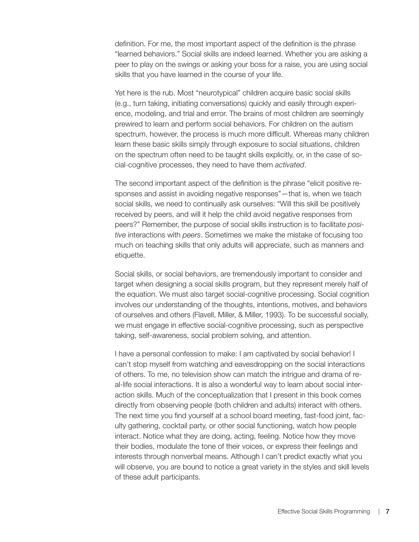definition. For me, the most important aspect of the definition is the phrase "learned behaviors." Social skills are indeed learned. Whether you are asking a peer to play on the swings or asking your boss for a raise, you are using social skills that you have learned in the course of your life.

Yet here is the rub. Most "neurotypical" children acquire basic social skills (e.g., turn taking, initiating conversations) quickly and easily through experience, modeling, and trial and error. The brains of most children are seemingly prewired to learn and perform social behaviors. For children on the autism spectrum, however, the process is much more difficult. Whereas many children learn these basic skills simply through exposure to social situations, children on the spectrum often need to be taught skills explicitly, or, in the case of social-cognitive processes, they need to have them *activated*.

The second important aspect of the definition is the phrase "elicit positive responses and assist in avoiding negative responses"—that is, when we teach social skills, we need to continually ask ourselves: "Will this skill be positively received by peers, and will it help the child avoid negative responses from peers?" Remember, the purpose of social skills instruction is to facilitate *positive* interactions with *peers*. Sometimes we make the mistake of focusing too much on teaching skills that only adults will appreciate, such as manners and etiquette.

Social skills, or social behaviors, are tremendously important to consider and target when designing a social skills program, but they represent merely half of the equation. We must also target social-cognitive processing. Social cognition involves our understanding of the thoughts, intentions, motives, and behaviors of ourselves and others (Flavell, Miller, & Miller, 1993). To be successful socially, we must engage in effective social-cognitive processing, such as perspective taking, self-awareness, social problem solving, and attention.

I have a personal confession to make: I am captivated by social behavior! I can't stop myself from watching and eavesdropping on the social interactions of others. To me, no television show can match the intrigue and drama of real-life social interactions. It is also a wonderful way to learn about social interaction skills. Much of the conceptualization that I present in this book comes directly from observing people (both children and adults) interact with others. The next time you find yourself at a school board meeting, fast-food joint, faculty gathering, cocktail party, or other social functioning, watch how people interact. Notice what they are doing, acting, feeling. Notice how they move their bodies, modulate the tone of their voices, or express their feelings and interests through nonverbal means. Although I can't predict exactly what you will observe, you are bound to notice a great variety in the styles and skill levels of these adult participants.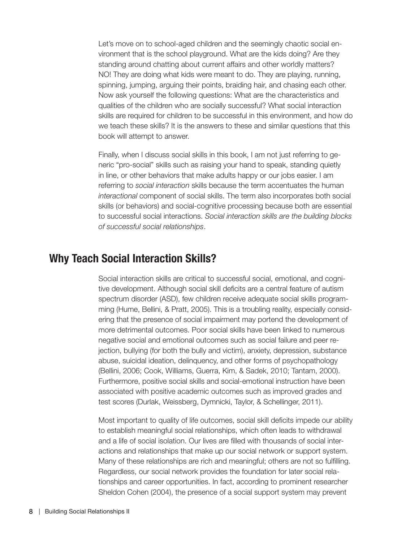Let's move on to school-aged children and the seemingly chaotic social environment that is the school playground. What are the kids doing? Are they standing around chatting about current affairs and other worldly matters? NO! They are doing what kids were meant to do. They are playing, running, spinning, jumping, arguing their points, braiding hair, and chasing each other. Now ask yourself the following questions: What are the characteristics and qualities of the children who are socially successful? What social interaction skills are required for children to be successful in this environment, and how do we teach these skills? It is the answers to these and similar questions that this book will attempt to answer.

Finally, when I discuss social skills in this book, I am not just referring to generic "pro-social" skills such as raising your hand to speak, standing quietly in line, or other behaviors that make adults happy or our jobs easier. I am referring to *social interaction* skills because the term accentuates the human *interactional* component of social skills. The term also incorporates both social skills (or behaviors) and social-cognitive processing because both are essential to successful social interactions. *Social interaction skills are the building blocks of successful social relationships*.

## Why Teach Social Interaction Skills?

Social interaction skills are critical to successful social, emotional, and cognitive development. Although social skill deficits are a central feature of autism spectrum disorder (ASD), few children receive adequate social skills programming (Hume, Bellini, & Pratt, 2005). This is a troubling reality, especially considering that the presence of social impairment may portend the development of more detrimental outcomes. Poor social skills have been linked to numerous negative social and emotional outcomes such as social failure and peer rejection, bullying (for both the bully and victim), anxiety, depression, substance abuse, suicidal ideation, delinquency, and other forms of psychopathology (Bellini, 2006; Cook, Williams, Guerra, Kim, & Sadek, 2010; Tantam, 2000). Furthermore, positive social skills and social-emotional instruction have been associated with positive academic outcomes such as improved grades and test scores (Durlak, Weissberg, Dymnicki, Taylor, & Schellinger, 2011).

Most important to quality of life outcomes, social skill deficits impede our ability to establish meaningful social relationships, which often leads to withdrawal and a life of social isolation. Our lives are filled with thousands of social interactions and relationships that make up our social network or support system. Many of these relationships are rich and meaningful; others are not so fulfilling. Regardless, our social network provides the foundation for later social relationships and career opportunities. In fact, according to prominent researcher Sheldon Cohen (2004), the presence of a social support system may prevent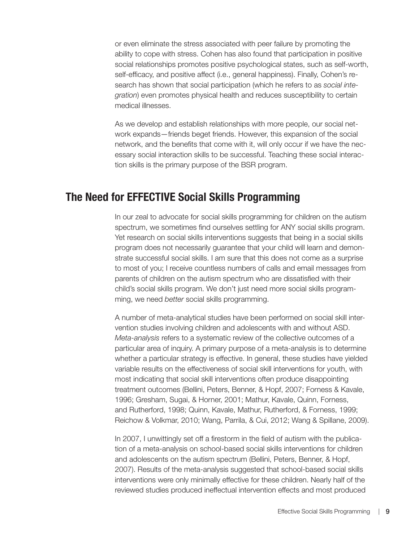or even eliminate the stress associated with peer failure by promoting the ability to cope with stress. Cohen has also found that participation in positive social relationships promotes positive psychological states, such as self-worth, self-efficacy, and positive affect (i.e., general happiness). Finally, Cohen's research has shown that social participation (which he refers to as *social integration*) even promotes physical health and reduces susceptibility to certain medical illnesses.

As we develop and establish relationships with more people, our social network expands—friends beget friends. However, this expansion of the social network, and the benefits that come with it, will only occur if we have the necessary social interaction skills to be successful. Teaching these social interaction skills is the primary purpose of the BSR program.

## The Need for EFFECTIVE Social Skills Programming

In our zeal to advocate for social skills programming for children on the autism spectrum, we sometimes find ourselves settling for ANY social skills program. Yet research on social skills interventions suggests that being in a social skills program does not necessarily guarantee that your child will learn and demonstrate successful social skills. I am sure that this does not come as a surprise to most of you; I receive countless numbers of calls and email messages from parents of children on the autism spectrum who are dissatisfied with their child's social skills program. We don't just need more social skills programming, we need *better* social skills programming.

A number of meta-analytical studies have been performed on social skill intervention studies involving children and adolescents with and without ASD. *Meta-analysis* refers to a systematic review of the collective outcomes of a particular area of inquiry. A primary purpose of a meta-analysis is to determine whether a particular strategy is effective. In general, these studies have yielded variable results on the effectiveness of social skill interventions for youth, with most indicating that social skill interventions often produce disappointing treatment outcomes (Bellini, Peters, Benner, & Hopf, 2007; Forness & Kavale, 1996; Gresham, Sugai, & Horner, 2001; Mathur, Kavale, Quinn, Forness, and Rutherford, 1998; Quinn, Kavale, Mathur, Rutherford, & Forness, 1999; Reichow & Volkmar, 2010; Wang, Parrila, & Cui, 2012; Wang & Spillane, 2009).

In 2007, I unwittingly set off a firestorm in the field of autism with the publication of a meta-analysis on school-based social skills interventions for children and adolescents on the autism spectrum (Bellini, Peters, Benner, & Hopf, 2007). Results of the meta-analysis suggested that school-based social skills interventions were only minimally effective for these children. Nearly half of the reviewed studies produced ineffectual intervention effects and most produced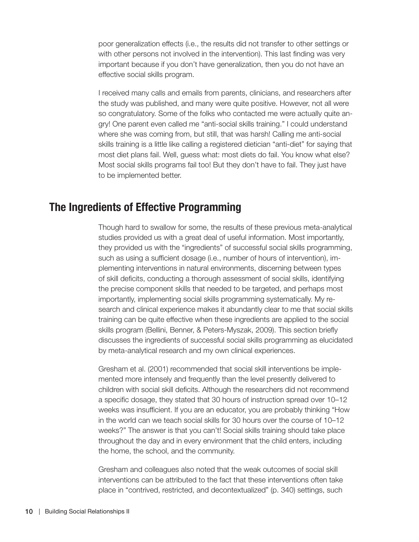poor generalization effects (i.e., the results did not transfer to other settings or with other persons not involved in the intervention). This last finding was very important because if you don't have generalization, then you do not have an effective social skills program.

I received many calls and emails from parents, clinicians, and researchers after the study was published, and many were quite positive. However, not all were so congratulatory. Some of the folks who contacted me were actually quite angry! One parent even called me "anti-social skills training." I could understand where she was coming from, but still, that was harsh! Calling me anti-social skills training is a little like calling a registered dietician "anti-diet" for saying that most diet plans fail. Well, guess what: most diets do fail. You know what else? Most social skills programs fail too! But they don't have to fail. They just have to be implemented better.

# The Ingredients of Effective Programming

Though hard to swallow for some, the results of these previous meta-analytical studies provided us with a great deal of useful information. Most importantly, they provided us with the "ingredients" of successful social skills programming, such as using a sufficient dosage (i.e., number of hours of intervention), implementing interventions in natural environments, discerning between types of skill deficits, conducting a thorough assessment of social skills, identifying the precise component skills that needed to be targeted, and perhaps most importantly, implementing social skills programming systematically. My research and clinical experience makes it abundantly clear to me that social skills training can be quite effective when these ingredients are applied to the social skills program (Bellini, Benner, & Peters-Myszak, 2009). This section briefly discusses the ingredients of successful social skills programming as elucidated by meta-analytical research and my own clinical experiences.

Gresham et al. (2001) recommended that social skill interventions be implemented more intensely and frequently than the level presently delivered to children with social skill deficits. Although the researchers did not recommend a specific dosage, they stated that 30 hours of instruction spread over 10–12 weeks was insufficient. If you are an educator, you are probably thinking "How in the world can we teach social skills for 30 hours over the course of 10–12 weeks?" The answer is that you can't! Social skills training should take place throughout the day and in every environment that the child enters, including the home, the school, and the community.

Gresham and colleagues also noted that the weak outcomes of social skill interventions can be attributed to the fact that these interventions often take place in "contrived, restricted, and decontextualized" (p. 340) settings, such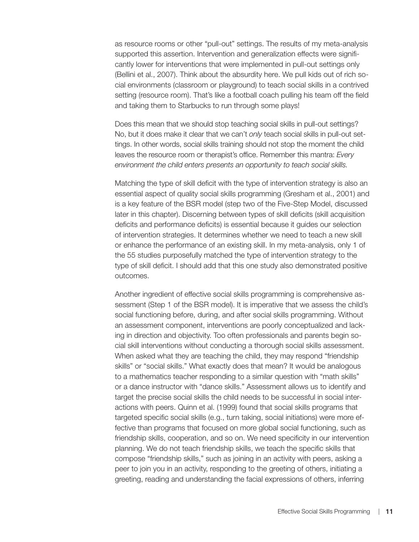as resource rooms or other "pull-out" settings. The results of my meta-analysis supported this assertion. Intervention and generalization effects were significantly lower for interventions that were implemented in pull-out settings only (Bellini et al., 2007). Think about the absurdity here. We pull kids out of rich social environments (classroom or playground) to teach social skills in a contrived setting (resource room). That's like a football coach pulling his team off the field and taking them to Starbucks to run through some plays!

Does this mean that we should stop teaching social skills in pull-out settings? No, but it does make it clear that we can't *only* teach social skills in pull-out settings. In other words, social skills training should not stop the moment the child leaves the resource room or therapist's office. Remember this mantra: *Every environment the child enters presents an opportunity to teach social skills.*

Matching the type of skill deficit with the type of intervention strategy is also an essential aspect of quality social skills programming (Gresham et al., 2001) and is a key feature of the BSR model (step two of the Five-Step Model, discussed later in this chapter). Discerning between types of skill deficits (skill acquisition deficits and performance deficits) is essential because it guides our selection of intervention strategies. It determines whether we need to teach a new skill or enhance the performance of an existing skill. In my meta-analysis, only 1 of the 55 studies purposefully matched the type of intervention strategy to the type of skill deficit. I should add that this one study also demonstrated positive outcomes.

Another ingredient of effective social skills programming is comprehensive assessment (Step 1 of the BSR model). It is imperative that we assess the child's social functioning before, during, and after social skills programming. Without an assessment component, interventions are poorly conceptualized and lacking in direction and objectivity. Too often professionals and parents begin social skill interventions without conducting a thorough social skills assessment. When asked what they are teaching the child, they may respond "friendship skills" or "social skills." What exactly does that mean? It would be analogous to a mathematics teacher responding to a similar question with "math skills" or a dance instructor with "dance skills." Assessment allows us to identify and target the precise social skills the child needs to be successful in social interactions with peers. Quinn et al. (1999) found that social skills programs that targeted specific social skills (e.g., turn taking, social initiations) were more effective than programs that focused on more global social functioning, such as friendship skills, cooperation, and so on. We need specificity in our intervention planning. We do not teach friendship skills, we teach the specific skills that compose "friendship skills," such as joining in an activity with peers, asking a peer to join you in an activity, responding to the greeting of others, initiating a greeting, reading and understanding the facial expressions of others, inferring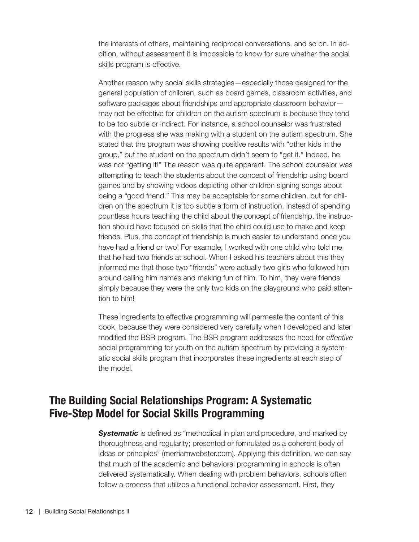the interests of others, maintaining reciprocal conversations, and so on. In addition, without assessment it is impossible to know for sure whether the social skills program is effective.

Another reason why social skills strategies—especially those designed for the general population of children, such as board games, classroom activities, and software packages about friendships and appropriate classroom behavior may not be effective for children on the autism spectrum is because they tend to be too subtle or indirect. For instance, a school counselor was frustrated with the progress she was making with a student on the autism spectrum. She stated that the program was showing positive results with "other kids in the group," but the student on the spectrum didn't seem to "get it." Indeed, he was not "getting it!" The reason was quite apparent. The school counselor was attempting to teach the students about the concept of friendship using board games and by showing videos depicting other children signing songs about being a "good friend." This may be acceptable for some children, but for children on the spectrum it is too subtle a form of instruction. Instead of spending countless hours teaching the child about the concept of friendship, the instruction should have focused on skills that the child could use to make and keep friends. Plus, the concept of friendship is much easier to understand once you have had a friend or two! For example, I worked with one child who told me that he had two friends at school. When I asked his teachers about this they informed me that those two "friends" were actually two girls who followed him around calling him names and making fun of him. To him, they were friends simply because they were the only two kids on the playground who paid attention to him!

These ingredients to effective programming will permeate the content of this book, because they were considered very carefully when I developed and later modified the BSR program. The BSR program addresses the need for *effective* social programming for youth on the autism spectrum by providing a systematic social skills program that incorporates these ingredients at each step of the model.

# The Building Social Relationships Program: A Systematic Five-Step Model for Social Skills Programming

*Systematic* is defined as "methodical in plan and procedure, and marked by thoroughness and regularity; presented or formulated as a coherent body of ideas or principles" (merriamwebster.com). Applying this definition, we can say that much of the academic and behavioral programming in schools is often delivered systematically. When dealing with problem behaviors, schools often follow a process that utilizes a functional behavior assessment. First, they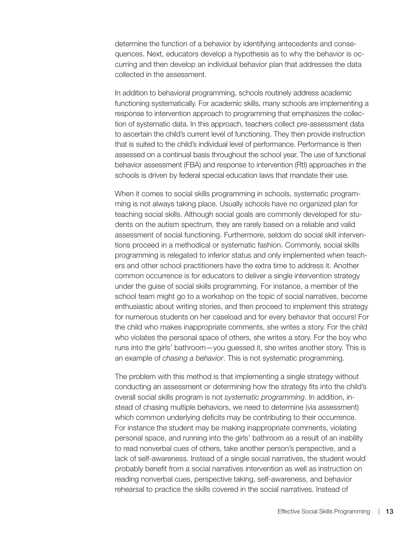determine the function of a behavior by identifying antecedents and consequences. Next, educators develop a hypothesis as to why the behavior is occurring and then develop an individual behavior plan that addresses the data collected in the assessment.

In addition to behavioral programming, schools routinely address academic functioning systematically. For academic skills, many schools are implementing a response to intervention approach to programming that emphasizes the collection of systematic data. In this approach, teachers collect pre-assessment data to ascertain the child's current level of functioning. They then provide instruction that is suited to the child's individual level of performance. Performance is then assessed on a continual basis throughout the school year. The use of functional behavior assessment (FBA) and response to intervention (RtI) approaches in the schools is driven by federal special education laws that mandate their use.

When it comes to social skills programming in schools, systematic programming is not always taking place. Usually schools have no organized plan for teaching social skills. Although social goals are commonly developed for students on the autism spectrum, they are rarely based on a reliable and valid assessment of social functioning. Furthermore, seldom do social skill interventions proceed in a methodical or systematic fashion. Commonly, social skills programming is relegated to inferior status and only implemented when teachers and other school practitioners have the extra time to address it. Another common occurrence is for educators to deliver a single intervention strategy under the guise of social skills programming. For instance, a member of the school team might go to a workshop on the topic of social narratives, become enthusiastic about writing stories, and then proceed to implement this strategy for numerous students on her caseload and for every behavior that occurs! For the child who makes inappropriate comments, she writes a story. For the child who violates the personal space of others, she writes a story. For the boy who runs into the girls' bathroom—you guessed it, she writes another story. This is an example of *chasing a behavior*. This is not systematic programming.

The problem with this method is that implementing a single strategy without conducting an assessment or determining how the strategy fits into the child's overall social skills program is not *systematic programming*. In addition, instead of chasing multiple behaviors, we need to determine (via assessment) which common underlying deficits may be contributing to their occurrence. For instance the student may be making inappropriate comments, violating personal space, and running into the girls' bathroom as a result of an inability to read nonverbal cues of others, take another person's perspective, and a lack of self-awareness. Instead of a single social narratives, the student would probably benefit from a social narratives intervention as well as instruction on reading nonverbal cues, perspective taking, self-awareness, and behavior rehearsal to practice the skills covered in the social narratives. Instead of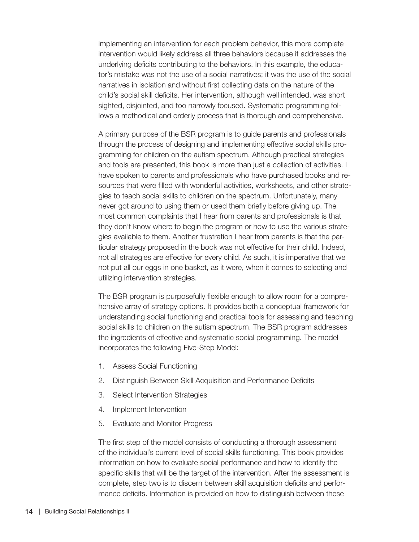implementing an intervention for each problem behavior, this more complete intervention would likely address all three behaviors because it addresses the underlying deficits contributing to the behaviors. In this example, the educator's mistake was not the use of a social narratives; it was the use of the social narratives in isolation and without first collecting data on the nature of the child's social skill deficits. Her intervention, although well intended, was short sighted, disjointed, and too narrowly focused. Systematic programming follows a methodical and orderly process that is thorough and comprehensive.

A primary purpose of the BSR program is to guide parents and professionals through the process of designing and implementing effective social skills programming for children on the autism spectrum. Although practical strategies and tools are presented, this book is more than just a collection of activities. I have spoken to parents and professionals who have purchased books and resources that were filled with wonderful activities, worksheets, and other strategies to teach social skills to children on the spectrum. Unfortunately, many never got around to using them or used them briefly before giving up. The most common complaints that I hear from parents and professionals is that they don't know where to begin the program or how to use the various strategies available to them. Another frustration I hear from parents is that the particular strategy proposed in the book was not effective for their child. Indeed, not all strategies are effective for every child. As such, it is imperative that we not put all our eggs in one basket, as it were, when it comes to selecting and utilizing intervention strategies.

The BSR program is purposefully flexible enough to allow room for a comprehensive array of strategy options. It provides both a conceptual framework for understanding social functioning and practical tools for assessing and teaching social skills to children on the autism spectrum. The BSR program addresses the ingredients of effective and systematic social programming. The model incorporates the following Five-Step Model:

- 1. Assess Social Functioning
- 2. Distinguish Between Skill Acquisition and Performance Deficits
- 3. Select Intervention Strategies
- 4. Implement Intervention
- 5. Evaluate and Monitor Progress

The first step of the model consists of conducting a thorough assessment of the individual's current level of social skills functioning. This book provides information on how to evaluate social performance and how to identify the specific skills that will be the target of the intervention. After the assessment is complete, step two is to discern between skill acquisition deficits and performance deficits. Information is provided on how to distinguish between these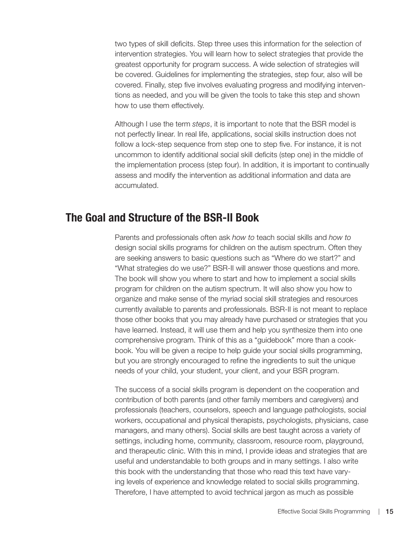two types of skill deficits. Step three uses this information for the selection of intervention strategies. You will learn how to select strategies that provide the greatest opportunity for program success. A wide selection of strategies will be covered. Guidelines for implementing the strategies, step four, also will be covered. Finally, step five involves evaluating progress and modifying interventions as needed, and you will be given the tools to take this step and shown how to use them effectively.

Although I use the term *steps*, it is important to note that the BSR model is not perfectly linear. In real life, applications, social skills instruction does not follow a lock-step sequence from step one to step five. For instance, it is not uncommon to identify additional social skill deficits (step one) in the middle of the implementation process (step four). In addition, it is important to continually assess and modify the intervention as additional information and data are accumulated.

## The Goal and Structure of the BSR-II Book

Parents and professionals often ask *how to* teach social skills and *how to* design social skills programs for children on the autism spectrum. Often they are seeking answers to basic questions such as "Where do we start?" and "What strategies do we use?" BSR-II will answer those questions and more. The book will show you where to start and how to implement a social skills program for children on the autism spectrum. It will also show you how to organize and make sense of the myriad social skill strategies and resources currently available to parents and professionals. BSR-II is not meant to replace those other books that you may already have purchased or strategies that you have learned. Instead, it will use them and help you synthesize them into one comprehensive program. Think of this as a "guidebook" more than a cookbook. You will be given a recipe to help guide your social skills programming, but you are strongly encouraged to refine the ingredients to suit the unique needs of your child, your student, your client, and your BSR program.

The success of a social skills program is dependent on the cooperation and contribution of both parents (and other family members and caregivers) and professionals (teachers, counselors, speech and language pathologists, social workers, occupational and physical therapists, psychologists, physicians, case managers, and many others). Social skills are best taught across a variety of settings, including home, community, classroom, resource room, playground, and therapeutic clinic. With this in mind, I provide ideas and strategies that are useful and understandable to both groups and in many settings. I also write this book with the understanding that those who read this text have varying levels of experience and knowledge related to social skills programming. Therefore, I have attempted to avoid technical jargon as much as possible